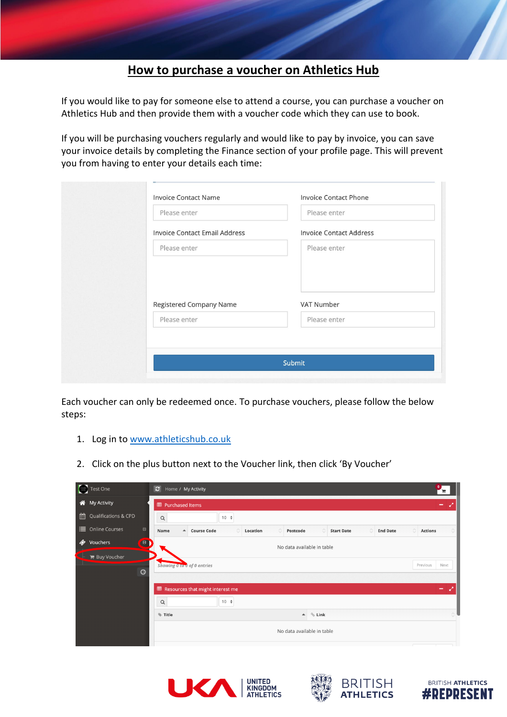## **How to purchase a voucher on Athletics Hub**

If you would like to pay for someone else to attend a course, you can purchase a voucher on Athletics Hub and then provide them with a voucher code which they can use to book.

If you will be purchasing vouchers regularly and would like to pay by invoice, you can save your invoice details by completing the Finance section of your profile page. This will prevent you from having to enter your details each time:

| Please enter                         | Please enter                   |
|--------------------------------------|--------------------------------|
|                                      |                                |
| <b>Invoice Contact Email Address</b> | <b>Invoice Contact Address</b> |
| Please enter                         | Please enter                   |
| <b>Registered Company Name</b>       | VAT Number                     |
| Please enter                         | Please enter                   |

Each voucher can only be redeemed once. To purchase vouchers, please follow the below steps:

- 1. Log in to [www.athleticshub.co.uk](http://www.athleticshub.co.uk/)
- 2. Click on the plus button next to the Voucher link, then click 'By Voucher'

|   | Test One                                                    | $\mathbf{c}$<br>Home / My Activity |                                             |           |          |                            |                        |                      | $\bullet$<br>ГF     |                |
|---|-------------------------------------------------------------|------------------------------------|---------------------------------------------|-----------|----------|----------------------------|------------------------|----------------------|---------------------|----------------|
| 谷 | <b>My Activity</b>                                          | <b>田 Purchased Items</b>           |                                             |           |          |                            |                        |                      | ۰.                  |                |
| 鱛 | Qualifications & CPD                                        | $\mathsf Q$                        |                                             | $10 \div$ |          |                            |                        |                      |                     |                |
|   | <b>E</b> Online Courses<br>$\boxplus$                       | Name<br>$\blacktriangle$           | <b>Course Code</b>                          |           | Location | Postcode                   | Ô<br><b>Start Date</b> | ó<br><b>End Date</b> | Ĉ<br><b>Actions</b> | ं              |
| ◈ | $\bigcirc$<br>Vouchers<br><b>F</b> Buy Voucher<br>$\bullet$ | Showing 0 to 0 of 0 entries        |                                             |           |          | No data available in table |                        |                      | Previous            | Next           |
|   |                                                             | $\mathsf Q$<br><b>Title</b>        | <b>EED</b> Resources that might interest me | $10 +$    |          | $\blacktriangle$           | $%$ Link               |                      |                     | $ \mathcal{L}$ |
|   |                                                             |                                    |                                             |           |          | No data available in table |                        |                      |                     |                |





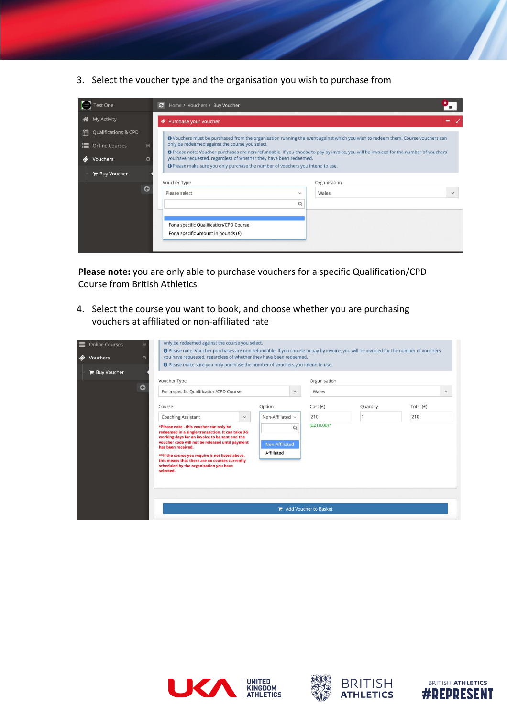3. Select the voucher type and the organisation you wish to purchase from

|   | <b>Test One</b>                    | c <br>Home / Vouchers / Buy Voucher                                            |                          |                                                                                                                                       |              |
|---|------------------------------------|--------------------------------------------------------------------------------|--------------------------|---------------------------------------------------------------------------------------------------------------------------------------|--------------|
| ⋒ | <b>My Activity</b>                 | Purchase your voucher                                                          |                          |                                                                                                                                       |              |
| 雦 | Qualifications & CPD               |                                                                                |                          | O Vouchers must be purchased from the organisation running the event against which you wish to redeem them. Course vouchers can       |              |
|   | <b>E</b> Online Courses<br>田       | only be redeemed against the course you select.                                |                          | O Please note: Voucher purchases are non-refundable. If you choose to pay by invoice, you will be invoiced for the number of vouchers |              |
| ◈ | Vouchers<br>$\Box$                 | you have requested, regardless of whether they have been redeemed.             |                          |                                                                                                                                       |              |
|   | $\mathbb{R}$ Buy Voucher           | O Please make sure you only purchase the number of vouchers you intend to use. |                          |                                                                                                                                       |              |
|   | Voucher Type<br>G<br>Please select |                                                                                | $\overline{\phantom{a}}$ | Organisation<br>Wales                                                                                                                 | $\checkmark$ |
|   |                                    |                                                                                | Q                        |                                                                                                                                       |              |
|   |                                    | For a specific Qualification/CPD Course<br>For a specific amount in pounds (£) |                          |                                                                                                                                       |              |

**Please note:** you are only able to purchase vouchers for a specific Qualification/CPD Course from British Athletics

4. Select the course you want to book, and choose whether you are purchasing vouchers at affiliated or non-affiliated rate

| <b><i>S</i></b> Vouchers<br><b>E</b> Buy Voucher | O Please note: Voucher purchases are non-refundable. If you choose to pay by invoice, you will be invoiced for the number of vouchers<br>you have requested, regardless of whether they have been redeemed.<br>ē<br>O Please make sure you only purchase the number of vouchers you intend to use. |                                                                                                                                                                                   |                            |                                      |          |             |  |  |
|--------------------------------------------------|----------------------------------------------------------------------------------------------------------------------------------------------------------------------------------------------------------------------------------------------------------------------------------------------------|-----------------------------------------------------------------------------------------------------------------------------------------------------------------------------------|----------------------------|--------------------------------------|----------|-------------|--|--|
|                                                  | Voucher Type                                                                                                                                                                                                                                                                                       |                                                                                                                                                                                   |                            | Organisation                         |          |             |  |  |
|                                                  | $\bullet$                                                                                                                                                                                                                                                                                          | For a specific Qualification/CPD Course                                                                                                                                           |                            |                                      | Wales    |             |  |  |
|                                                  | Course                                                                                                                                                                                                                                                                                             |                                                                                                                                                                                   |                            | Cost(E)                              | Quantity | Total $(E)$ |  |  |
|                                                  | <b>Coaching Assistant</b><br>$\checkmark$<br>*Please note - this voucher can only be<br>redeemed in a single transaction. It can take 3-5<br>working days for an invoice to be sent and the<br>voucher code will not be released until payment                                                     |                                                                                                                                                                                   | Non-Affiliated v           | 210<br>$(E210.00)*$                  |          | 210         |  |  |
|                                                  |                                                                                                                                                                                                                                                                                                    |                                                                                                                                                                                   | $\Omega$<br>Non-Affiliated |                                      |          |             |  |  |
|                                                  | selected.                                                                                                                                                                                                                                                                                          | has been received.<br>Affiliated<br>** If the course you require is not listed above,<br>this means that there are no courses currently<br>scheduled by the organisation you have |                            |                                      |          |             |  |  |
|                                                  |                                                                                                                                                                                                                                                                                                    |                                                                                                                                                                                   |                            | $\blacksquare$ Add Voucher to Basket |          |             |  |  |







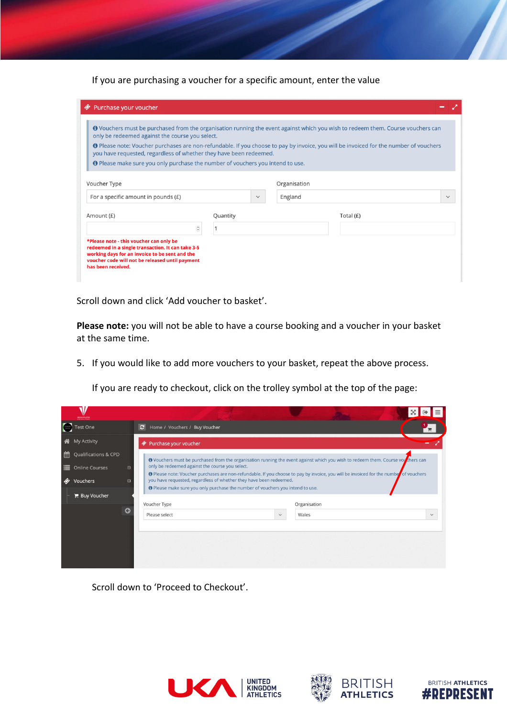If you are purchasing a voucher for a specific amount, enter the value

| O Vouchers must be purchased from the organisation running the event against which you wish to redeem them. Course vouchers can<br>only be redeemed against the course you select.                          |          |              |              |           |
|-------------------------------------------------------------------------------------------------------------------------------------------------------------------------------------------------------------|----------|--------------|--------------|-----------|
| O Please note: Voucher purchases are non-refundable. If you choose to pay by invoice, you will be invoiced for the number of vouchers<br>you have requested, regardless of whether they have been redeemed. |          |              |              |           |
| O Please make sure you only purchase the number of vouchers you intend to use.                                                                                                                              |          |              |              |           |
| Voucher Type                                                                                                                                                                                                |          |              | Organisation |           |
| For a specific amount in pounds $(E)$                                                                                                                                                                       |          | $\checkmark$ | England      |           |
| Amount (£)                                                                                                                                                                                                  | Quantity |              |              | Total (£) |
| $\hat{\cdot}$                                                                                                                                                                                               |          |              |              |           |
| *Please note - this voucher can only be<br>redeemed in a single transaction. It can take 3-5<br>working days for an invoice to be sent and the<br>voucher code will not be released until payment           |          |              |              |           |

Scroll down and click 'Add voucher to basket'.

**Please note:** you will not be able to have a course booking and a voucher in your basket at the same time.

5. If you would like to add more vouchers to your basket, repeat the above process.

If you are ready to checkout, click on the trolley symbol at the top of the page:

|                                                                                                                                                                                                                                                                                                                                                                                                         |                                      |                                                                                                                                 |                                                                                                                                                                                          |       | $X \rightarrow$ |              |  |  |
|---------------------------------------------------------------------------------------------------------------------------------------------------------------------------------------------------------------------------------------------------------------------------------------------------------------------------------------------------------------------------------------------------------|--------------------------------------|---------------------------------------------------------------------------------------------------------------------------------|------------------------------------------------------------------------------------------------------------------------------------------------------------------------------------------|-------|-----------------|--------------|--|--|
| $\left(\frac{1}{2} + \frac{1}{2} + \frac{1}{2} + \frac{1}{2} + \frac{1}{2} + \frac{1}{2} + \frac{1}{2} + \frac{1}{2} + \frac{1}{2} + \frac{1}{2} + \frac{1}{2} + \frac{1}{2} + \frac{1}{2} + \frac{1}{2} + \frac{1}{2} + \frac{1}{2} + \frac{1}{2} + \frac{1}{2} + \frac{1}{2} + \frac{1}{2} + \frac{1}{2} + \frac{1}{2} + \frac{1}{2} + \frac{1}{2} + \frac{1}{2} + \frac{1}{2} + \frac{1}{2} + \frac$ | <b>Test One</b>                      | c                                                                                                                               | Home / Vouchers / Buy Voucher                                                                                                                                                            |       |                 |              |  |  |
| ⋒                                                                                                                                                                                                                                                                                                                                                                                                       | <b>My Activity</b>                   | W                                                                                                                               | Purchase your voucher                                                                                                                                                                    |       |                 |              |  |  |
| 鱛                                                                                                                                                                                                                                                                                                                                                                                                       | Qualifications & CPD                 | O Vouchers must be purchased from the organisation running the event against which you wish to redeem them. Course vouchers can |                                                                                                                                                                                          |       |                 |              |  |  |
| ≡                                                                                                                                                                                                                                                                                                                                                                                                       | <b>Online Courses</b><br>$\bigoplus$ |                                                                                                                                 | only be redeemed against the course you select.<br>O Please note: Voucher purchases are non-refundable. If you choose to pay by invoice, you will be invoiced for the number of vouchers |       |                 |              |  |  |
|                                                                                                                                                                                                                                                                                                                                                                                                         | <b>Vouchers</b><br>Θ                 |                                                                                                                                 | you have requested, regardless of whether they have been redeemed.<br>O Please make sure you only purchase the number of vouchers you intend to use.                                     |       |                 |              |  |  |
|                                                                                                                                                                                                                                                                                                                                                                                                         | <b>E</b> Buy Voucher                 | Voucher Type<br>Organisation                                                                                                    |                                                                                                                                                                                          |       |                 |              |  |  |
|                                                                                                                                                                                                                                                                                                                                                                                                         | G                                    |                                                                                                                                 | Please select<br>$\checkmark$                                                                                                                                                            | Wales |                 | $\checkmark$ |  |  |
|                                                                                                                                                                                                                                                                                                                                                                                                         |                                      |                                                                                                                                 |                                                                                                                                                                                          |       |                 |              |  |  |
|                                                                                                                                                                                                                                                                                                                                                                                                         |                                      |                                                                                                                                 |                                                                                                                                                                                          |       |                 |              |  |  |
|                                                                                                                                                                                                                                                                                                                                                                                                         |                                      |                                                                                                                                 |                                                                                                                                                                                          |       |                 |              |  |  |
|                                                                                                                                                                                                                                                                                                                                                                                                         |                                      |                                                                                                                                 |                                                                                                                                                                                          |       |                 |              |  |  |

Scroll down to 'Proceed to Checkout'.